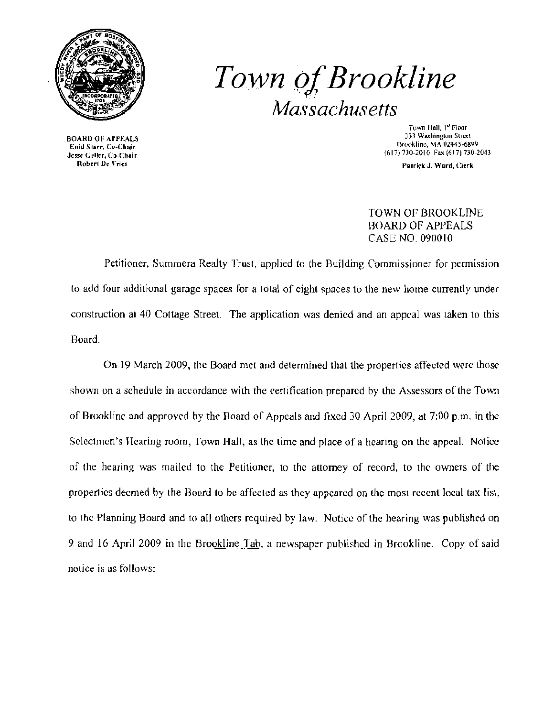

## **Town of Brookline** *Massachusetts*

**BOARD OF APPEALS<br>Enid Siarr, Co-Chair** Fax Corporation Corporation (617) 730-2010 Fax (617) 730-2013<br> **Existe Collect De Vries**<br> **Robert De Vries** Properties (Service of Cherk Properties of Cherk Properties of Cherk Properties of Cherk Properties (Service of Ch

Town Hall, 1<sup>ª</sup> Floor<br>333 Washington Street Brookline, MA 02445-6899

Patrick J. Ward, Clerk

## TOWN OF BROOKLINE **BOARD OF APPEALS** CASE NO. 090010

Petitioner, Summera Realty Trusl, applied to the Building Commissioner for permission to add four additional garage spaces for a total of eight spaces to the new home currently under construction at 40 Cottage Street. The application was denied and an appeal was taken to this Board,

On J9 March 2009, the Board mel and determined thal the properties affected were those shown on a schedule in accordance with the certification prepared by the Assessors of the Town of Brookline and approved by the Board of Appeals and fixed 30 April 2009, at 7:00 p.m. in the Selectmen's Hearing room, Town Hall, as the lime and place of a hearing on the appeal. Notice of the hearing was mailed to the Petitioner, to the attorney of record, to the owners of the propertics deemed by the Board to be affected as they appeared on the most recent local tax list, to the Planning Board and to all others required by law. Notice of the hearing was published on 9 and 16 April 2009 in the Brookline Tab, a newspaper published in Brookline. Copy of said notice is as follows: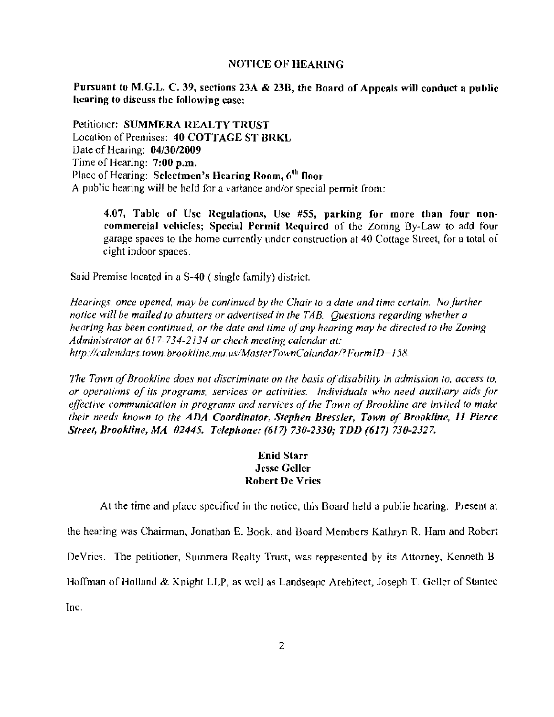## NOTICE OF HEARING

Pursuant to M.G.L. C. 39, sections 23A & 23B, the Board of Appeals will conduct a public hearing to discuss the following case:

Petitioner: SUMMERA REALTY TRUST Location of Premises: 40 COTTAGE ST BRKL Date of Hearing: 04/30/2009 Time of Hearing:  $7:00$  p.m. Place of Hearing: Selectmen's Hearing Room, 6<sup>th</sup> floor A public hearing will be held for a variance and/or special permit from:

4.07, Table of Use Regulations, Use #55, parking for more than four noncommercial vehicles; Special Permit Required of the Zoning By-Law to add four garage spaces to the home currently under construction at 40 Cottage Street, [or a total of eight indoor spaces.

Said Premise located in a 8-40 (single family) distriet.

Hearings, once opened, may be continued by the Chair to a date and time certain. No further notice will be mailed to abutters or advertised in the TAB. Questions regarding whether a hearing has been continued, or the date and time of any hearing may be directed to the Zoning Administrator at 617-734-2134 or check meeting calendar at: *h'tp:!!calendars-town. brook/inc. mao us/MasterTownCalandar/? }«JrmID=* /5tl.

*The Town of Brookline does not discriminate on the basis of disability in admission to, access to, or operations of its programs, services or activities. Individuals who need auxiliary aids for effective communication in programs and services of the Town of Brookline are invited to make their needs known to the ADA Coordinator, Stephen Bressler, Town of Brookline, 11 Pierce Sireel, Brookline, MA 01445. Telepilone:* (6/7) *730-1330; TDD* (617) *730-ZJ17.* 

## Enid Starr Jesse Geller Robert De Vries

At the time and place specified in the notiec, this Board held a publie hearing. Present at the hearing was Chairman, Jonathan E. Book, and Board Members Kathryn R. Ham and Robert DeVries. The petitioner, Summera Realty Trust, was represented by its Attorney, Kenneth B. Hoffman of Holland & Knight LLP, as wcll as Landseape Arehitect, Joseph T. Geller of Stantec

Inc.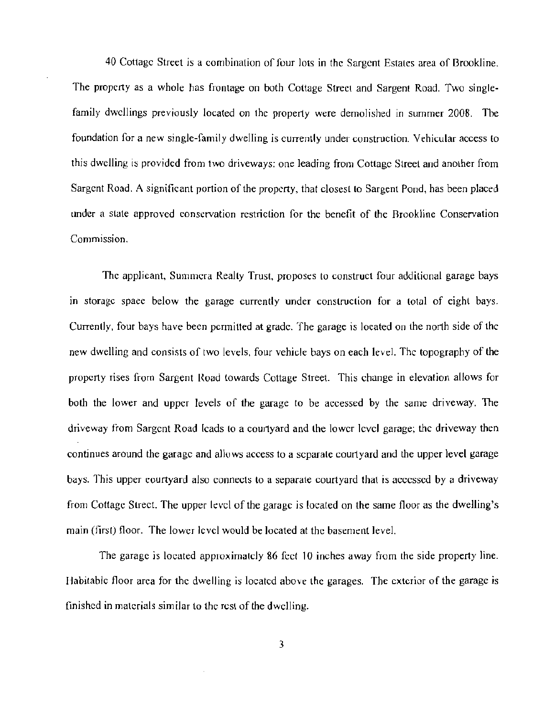40 Cottage Street is a combination of four lots in the Sargent Estates area of Brookline. The property as a whole has frontage on both Cottage Street and Sargent Road. Two singlefamily dwellings previously located on the property were demolished in summer 2008. The foundation for a new single-family dwelling is currently under constroction. Vehicular access to this dwelling is provided from two driveways: one leading from Cottage Street and another from Sargent Road. A significant portion of the property, that closest to Sargent Pond, has been placed under a state approved conservation restriction for the benefit of the Brookline Conservation Commission.

The applicant, Summera Really Trust, proposes to construct four additional garage bays in storage spaee below the garage currently under construction for a total of eight bays. Currently, four bays have been permitted at grade. The garage is located on the north side of the new dwelling and consists of two levels, four vehicle bays on each level. The topography of the property rises from Sargent l{oad towards Cottage Street. This change in elevalion allows for both the lower and upper levels of the garage 10 be accessed by the same driveway. The driveway from Sargent Road Icads to a courtyard and the lower level garage; the driveway then continues around the garage and allows access to a separate courtyard and the upper level garage bays. This upper courtyard also connects to a separate courtyard that is accessed by a driveway from Cottage Street. The upper level of the garage is !oealed on the same floor as the dwelling's main (first) floor. The lower level would be located at the basement level.

The garage is located approximately 86 feet 10 inches away from the side property line. Habitable floor area for the dwelling is located above the garages. The exterior of the garage is finished in materials similar to the rest of the dwelling.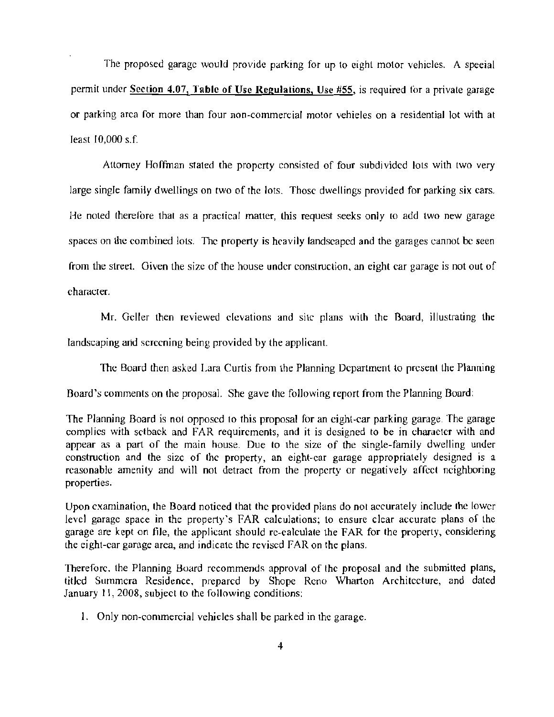The proposed garage would provide parking for up to eight motor vehicles. A speeial permit under Section 4.07, Table of Use Regulations, Use  $#55$ , is required for a private garage or parking area for more than four non-commercial molor vehieles on a residential lot with at least  $10,000$  s.f.

Attorney Hoffman stated the property consisted of four subdivided lots with two very large single family dwellings on two of the lots, Those dwellings provided for parking six cars. He noted therefore that as a practical matter, this request seeks only to add two new garage spaces on the combined lots. The property is heavily landscaped and the garages cannot be seen from the street. Given the size of the house under construction, an eight car garage is not out of character.

Mr. Geller then reviewed elevations and site plans with the Board, illustrating the landscaping and screening being provided by the applicant.

The Board then asked Lara Curtis from the Planning Deparlment to present the Planning

Board's comments on the proposal. She gave the following report from the Planning Boord:

The Planning Board is nol opposed to this proposal for an eight-car parking garage. The garage complies with setback and FAR requirements, and it is designed to be in character with and appear as a part of the main house. Due to the size of the single-family dwelling under construction and the sizc of the property, an eight-car garage appropriately designed is a reasonable amenity and will not detract from the property or negatively affect neighboring properties.

Upon examination, the Board noticed that the provided plans do nol accurately include the lower level garage space in the property's FAR calculations; to ensure clear accurate plans of the garage are kept on file, the applicant should rc-calculate the FAR for the property, considering the eight-car garage area, and indicate the revised fAR on the plans.

Therefore. the Planning Board recommends approval of the proposal and the submitted plans, titled Summera Residence, prepared by Shope Reno Wharton Architecture, and dated January 11, 2008, subject to the following conditions:

1. Only non-commercial vehicles shall be parked in the garage.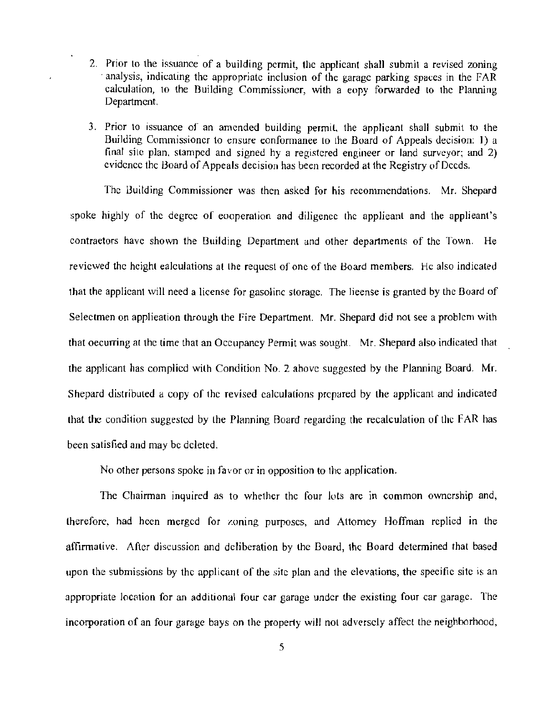- 2. Prior to the issuance of a building permit, the applicant shall submit a revised zoning analysis, indicating the appropriate inclusion of the garage parking spaces in the  $FAR$ calculation, to the Building Commissioner, with a eopy forwarded to the Planning Department.
- 3. Prior to issuance of an amended building permit, the applicant shall submit to the Building Commissioner to ensure eonformanee to the Board of Appeals decision: 1) a final site plan. stamped and signed hy a registered engineer or land surveyor; and 2) evidence the Hoard of Appeals decision has been recorded at the Registry of Deeds.

The Building Commissioner was then asked for his recommendations. Mr. Shepard spoke highly of the degree of eooperation and diligence the applieant and the applieant's contraetors have shown the Building Department and other departments of the Town. He reviewed the height ealeulations at the request of one of the Board members. He also indicated that the applicant will need a license for gasoline storage. The lieense is granted by the Board of Selectmen on applieation through the Fire Department. Mr. Shepard did not see a problcm with that oecurring at the time that an Occupancy Permit was sought. Mr. Shepard also indicated that the applicant has complied with Condition No.2 above suggested by the Planning Board. Mr. Shepard distributed a copy of the revised calculations prepared by the applicant and indicated that the condition suggested by the Planning Board regarding the recalculation of the FAR has been satisfied and may be deleted.

No other persons spoke in favor or in opposition to the application.

The Chairman inquired as to whether the four lots are in common ownership and, lherefore. had heen merged for zoning purposes, and Attorney Hoffman replied in the affirmative. After discussion and deliberation by the Board, thc Board determined that based upon the submissions by the applicant of the site plan and the elevations, the specific site is an appropriate location for an additional four car garage under the existing four car garage. The incorporation of an four garage bays on the property will not adversely affect the neighborhood,